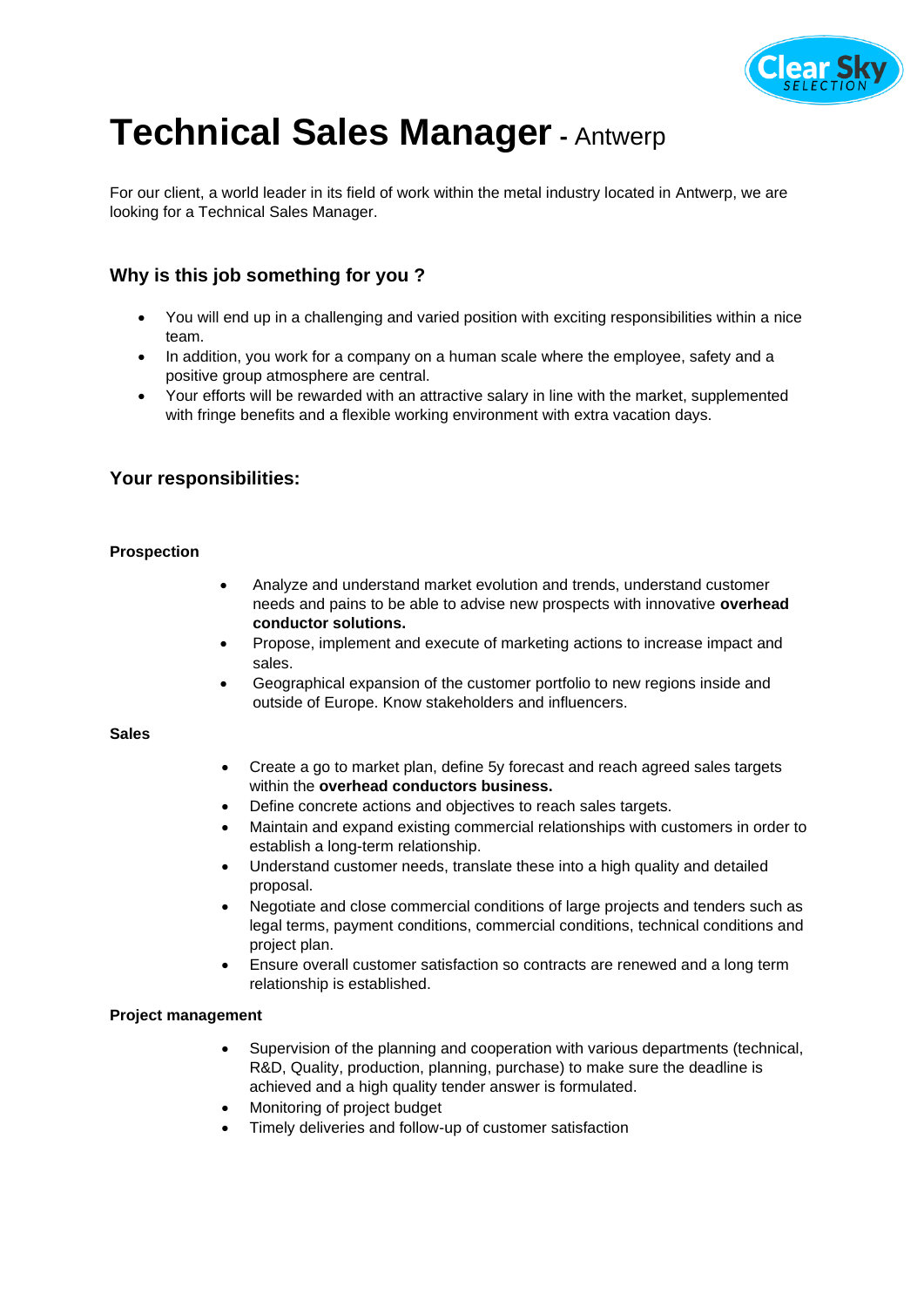

# **Technical Sales Manager-** Antwerp

For our client, a world leader in its field of work within the metal industry located in Antwerp, we are looking for a Technical Sales Manager.

# **Why is this job something for you ?**

- You will end up in a challenging and varied position with exciting responsibilities within a nice team.
- In addition, you work for a company on a human scale where the employee, safety and a positive group atmosphere are central.
- Your efforts will be rewarded with an attractive salary in line with the market, supplemented with fringe benefits and a flexible working environment with extra vacation days.

## **Your responsibilities:**

#### **Prospection**

- Analyze and understand market evolution and trends, understand customer needs and pains to be able to advise new prospects with innovative **overhead conductor solutions.**
- Propose, implement and execute of marketing actions to increase impact and sales.
- Geographical expansion of the customer portfolio to new regions inside and outside of Europe. Know stakeholders and influencers.

#### **Sales**

- Create a go to market plan, define 5y forecast and reach agreed sales targets within the **overhead conductors business.**
- Define concrete actions and objectives to reach sales targets.
- Maintain and expand existing commercial relationships with customers in order to establish a long-term relationship.
- Understand customer needs, translate these into a high quality and detailed proposal.
- Negotiate and close commercial conditions of large projects and tenders such as legal terms, payment conditions, commercial conditions, technical conditions and project plan.
- Ensure overall customer satisfaction so contracts are renewed and a long term relationship is established.

#### **Project management**

- Supervision of the planning and cooperation with various departments (technical, R&D, Quality, production, planning, purchase) to make sure the deadline is achieved and a high quality tender answer is formulated.
- Monitoring of project budget
- Timely deliveries and follow-up of customer satisfaction